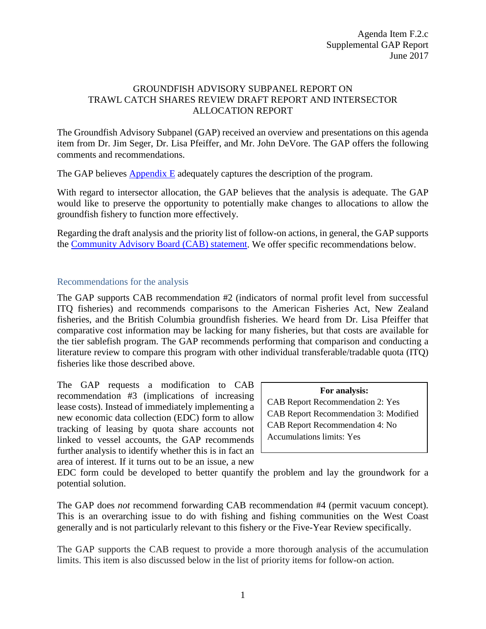## GROUNDFISH ADVISORY SUBPANEL REPORT ON TRAWL CATCH SHARES REVIEW DRAFT REPORT AND INTERSECTOR ALLOCATION REPORT

The Groundfish Advisory Subpanel (GAP) received an overview and presentations on this agenda item from Dr. Jim Seger, Dr. Lisa Pfeiffer, and Mr. John DeVore. The GAP offers the following comments and recommendations.

The GAP believes **Appendix E** adequately captures the description of the program.

With regard to intersector allocation, the GAP believes that the analysis is adequate. The GAP would like to preserve the opportunity to potentially make changes to allocations to allow the groundfish fishery to function more effectively.

Regarding the draft analysis and the priority list of follow-on actions, in general, the GAP supports the [Community Advisory Board \(CAB\) statement.](http://www.pcouncil.org/wp-content/uploads/2017/06/F2c_Sup_CAB_Rpt_Jun2017BB.pdf) We offer specific recommendations below.

## Recommendations for the analysis

The GAP supports CAB recommendation #2 (indicators of normal profit level from successful ITQ fisheries) and recommends comparisons to the American Fisheries Act, New Zealand fisheries, and the British Columbia groundfish fisheries. We heard from Dr. Lisa Pfeiffer that comparative cost information may be lacking for many fisheries, but that costs are available for the tier sablefish program. The GAP recommends performing that comparison and conducting a literature review to compare this program with other individual transferable/tradable quota (ITQ) fisheries like those described above.

The GAP requests a modification to CAB recommendation #3 (implications of increasing lease costs). Instead of immediately implementing a new economic data collection (EDC) form to allow tracking of leasing by quota share accounts not linked to vessel accounts, the GAP recommends further analysis to identify whether this is in fact an area of interest. If it turns out to be an issue, a new

**For analysis:**

CAB Report Recommendation 2: Yes CAB Report Recommendation 3: Modified CAB Report Recommendation 4: No Accumulations limits: Yes

EDC form could be developed to better quantify the problem and lay the groundwork for a potential solution.

The GAP does *not* recommend forwarding CAB recommendation #4 (permit vacuum concept). This is an overarching issue to do with fishing and fishing communities on the West Coast generally and is not particularly relevant to this fishery or the Five-Year Review specifically.

The GAP supports the CAB request to provide a more thorough analysis of the accumulation limits. This item is also discussed below in the list of priority items for follow-on action.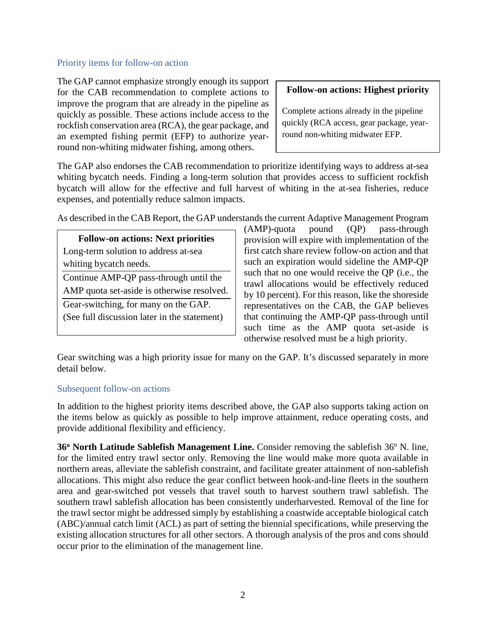#### Priority items for follow-on action

The GAP cannot emphasize strongly enough its support for the CAB recommendation to complete actions to improve the program that are already in the pipeline as quickly as possible. These actions include access to the rockfish conservation area (RCA), the gear package, and an exempted fishing permit (EFP) to authorize yearround non-whiting midwater fishing, among others.

#### **Follow-on actions: Highest priority**

Complete actions already in the pipeline quickly (RCA access, gear package, yearround non-whiting midwater EFP.

The GAP also endorses the CAB recommendation to prioritize identifying ways to address at-sea whiting bycatch needs. Finding a long-term solution that provides access to sufficient rockfish bycatch will allow for the effective and full harvest of whiting in the at-sea fisheries, reduce expenses, and potentially reduce salmon impacts.

As described in the CAB Report, the GAP understands the current Adaptive Management Program

**Follow-on actions: Next priorities** Long-term solution to address at-sea whiting bycatch needs.

Continue AMP-QP pass-through until the AMP quota set-aside is otherwise resolved.

Gear-switching, for many on the GAP.

(See full discussion later in the statement)

(AMP)-quota pound (QP) pass-through provision will expire with implementation of the first catch share review follow-on action and that such an expiration would sideline the AMP-QP such that no one would receive the QP (i.e., the trawl allocations would be effectively reduced by 10 percent). For this reason, like the shoreside representatives on the CAB, the GAP believes that continuing the AMP-QP pass-through until such time as the AMP quota set-aside is otherwise resolved must be a high priority.

Gear switching was a high priority issue for many on the GAP. It's discussed separately in more detail below.

### Subsequent follow-on actions

In addition to the highest priority items described above, the GAP also supports taking action on the items below as quickly as possible to help improve attainment, reduce operating costs, and provide additional flexibility and efficiency.

**36<sup>o</sup> North Latitude Sablefish Management Line.** Consider removing the sablefish 36<sup>o</sup> N. line, for the limited entry trawl sector only. Removing the line would make more quota available in northern areas, alleviate the sablefish constraint, and facilitate greater attainment of non-sablefish allocations. This might also reduce the gear conflict between hook-and-line fleets in the southern area and gear-switched pot vessels that travel south to harvest southern trawl sablefish. The southern trawl sablefish allocation has been consistently underharvested. Removal of the line for the trawl sector might be addressed simply by establishing a coastwide acceptable biological catch (ABC)/annual catch limit (ACL) as part of setting the biennial specifications, while preserving the existing allocation structures for all other sectors. A thorough analysis of the pros and cons should occur prior to the elimination of the management line.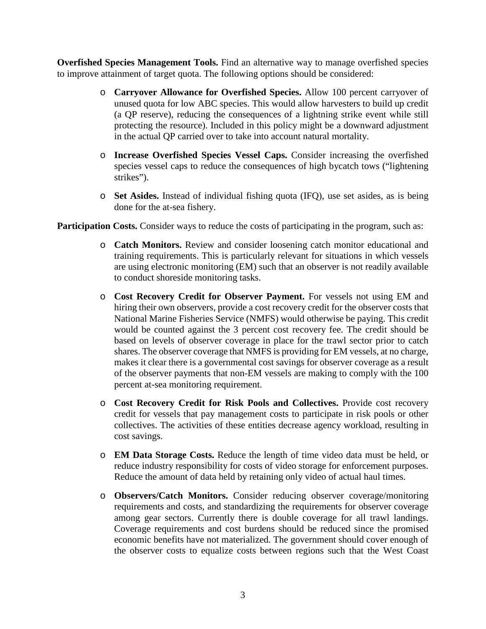**Overfished Species Management Tools.** Find an alternative way to manage overfished species to improve attainment of target quota. The following options should be considered:

- o **Carryover Allowance for Overfished Species.** Allow 100 percent carryover of unused quota for low ABC species. This would allow harvesters to build up credit (a QP reserve), reducing the consequences of a lightning strike event while still protecting the resource). Included in this policy might be a downward adjustment in the actual QP carried over to take into account natural mortality.
- o **Increase Overfished Species Vessel Caps.** Consider increasing the overfished species vessel caps to reduce the consequences of high bycatch tows ("lightening strikes").
- o **Set Asides.** Instead of individual fishing quota (IFQ), use set asides, as is being done for the at-sea fishery.

**Participation Costs.** Consider ways to reduce the costs of participating in the program, such as:

- o **Catch Monitors.** Review and consider loosening catch monitor educational and training requirements. This is particularly relevant for situations in which vessels are using electronic monitoring (EM) such that an observer is not readily available to conduct shoreside monitoring tasks.
- o **Cost Recovery Credit for Observer Payment.** For vessels not using EM and hiring their own observers, provide a cost recovery credit for the observer costs that National Marine Fisheries Service (NMFS) would otherwise be paying. This credit would be counted against the 3 percent cost recovery fee. The credit should be based on levels of observer coverage in place for the trawl sector prior to catch shares. The observer coverage that NMFS is providing for EM vessels, at no charge, makes it clear there is a governmental cost savings for observer coverage as a result of the observer payments that non-EM vessels are making to comply with the 100 percent at-sea monitoring requirement.
- o **Cost Recovery Credit for Risk Pools and Collectives.** Provide cost recovery credit for vessels that pay management costs to participate in risk pools or other collectives. The activities of these entities decrease agency workload, resulting in cost savings.
- o **EM Data Storage Costs.** Reduce the length of time video data must be held, or reduce industry responsibility for costs of video storage for enforcement purposes. Reduce the amount of data held by retaining only video of actual haul times.
- o **Observers/Catch Monitors.** Consider reducing observer coverage/monitoring requirements and costs, and standardizing the requirements for observer coverage among gear sectors. Currently there is double coverage for all trawl landings. Coverage requirements and cost burdens should be reduced since the promised economic benefits have not materialized. The government should cover enough of the observer costs to equalize costs between regions such that the West Coast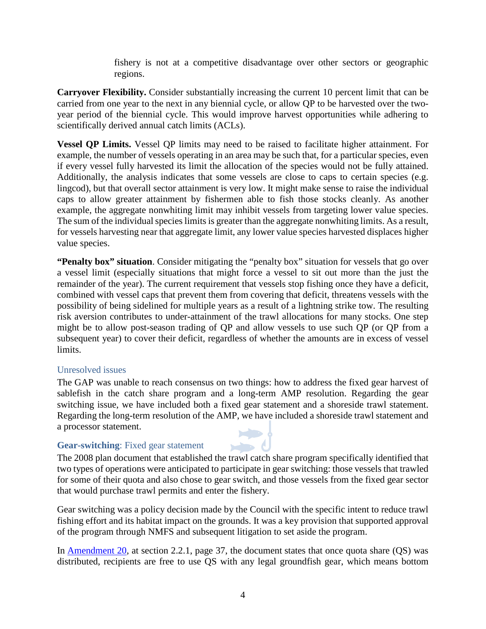fishery is not at a competitive disadvantage over other sectors or geographic regions.

**Carryover Flexibility.** Consider substantially increasing the current 10 percent limit that can be carried from one year to the next in any biennial cycle, or allow QP to be harvested over the twoyear period of the biennial cycle. This would improve harvest opportunities while adhering to scientifically derived annual catch limits (ACLs).

**Vessel QP Limits.** Vessel QP limits may need to be raised to facilitate higher attainment. For example, the number of vessels operating in an area may be such that, for a particular species, even if every vessel fully harvested its limit the allocation of the species would not be fully attained. Additionally, the analysis indicates that some vessels are close to caps to certain species (e.g. lingcod), but that overall sector attainment is very low. It might make sense to raise the individual caps to allow greater attainment by fishermen able to fish those stocks cleanly. As another example, the aggregate nonwhiting limit may inhibit vessels from targeting lower value species. The sum of the individual species limits is greater than the aggregate nonwhiting limits. As a result, for vessels harvesting near that aggregate limit, any lower value species harvested displaces higher value species.

**"Penalty box" situation**. Consider mitigating the "penalty box" situation for vessels that go over a vessel limit (especially situations that might force a vessel to sit out more than the just the remainder of the year). The current requirement that vessels stop fishing once they have a deficit, combined with vessel caps that prevent them from covering that deficit, threatens vessels with the possibility of being sidelined for multiple years as a result of a lightning strike tow. The resulting risk aversion contributes to under-attainment of the trawl allocations for many stocks. One step might be to allow post-season trading of QP and allow vessels to use such QP (or QP from a subsequent year) to cover their deficit, regardless of whether the amounts are in excess of vessel limits.

# Unresolved issues

The GAP was unable to reach consensus on two things: how to address the fixed gear harvest of sablefish in the catch share program and a long-term AMP resolution. Regarding the gear switching issue, we have included both a fixed gear statement and a shoreside trawl statement. Regarding the long-term resolution of the AMP, we have included a shoreside trawl statement and a processor statement.

# **Gear-switching**: Fixed gear statement



Gear switching was a policy decision made by the Council with the specific intent to reduce trawl fishing effort and its habitat impact on the grounds. It was a key provision that supported approval of the program through NMFS and subsequent litigation to set aside the program.

In [Amendment 20,](http://www.pcouncil.org/wp-content/uploads/1_Pacific-Coast-Grounddfish-Limited-Entry-Trawl-Fishery-FEIS.pdf) at section 2.2.1, page 37, the document states that once quota share (QS) was distributed, recipients are free to use QS with any legal groundfish gear, which means bottom

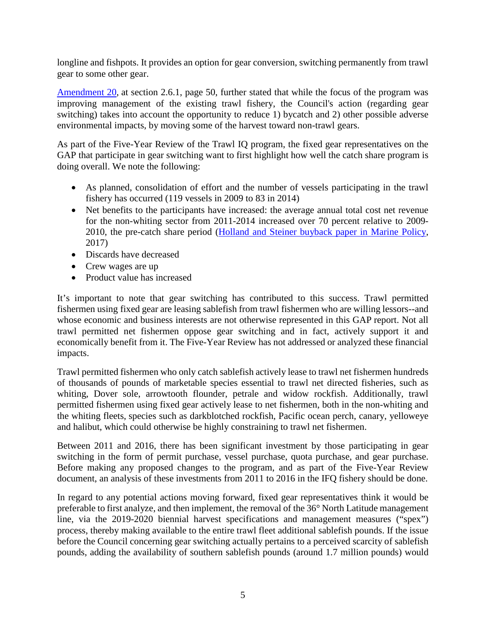longline and fishpots. It provides an option for gear conversion, switching permanently from trawl gear to some other gear.

[Amendment 20,](http://www.pcouncil.org/wp-content/uploads/1_Pacific-Coast-Grounddfish-Limited-Entry-Trawl-Fishery-FEIS.pdf) at section 2.6.1, page 50, further stated that while the focus of the program was improving management of the existing trawl fishery, the Council's action (regarding gear switching) takes into account the opportunity to reduce 1) bycatch and 2) other possible adverse environmental impacts, by moving some of the harvest toward non-trawl gears.

As part of the Five-Year Review of the Trawl IQ program, the fixed gear representatives on the GAP that participate in gear switching want to first highlight how well the catch share program is doing overall. We note the following:

- As planned, consolidation of effort and the number of vessels participating in the trawl fishery has occurred (119 vessels in 2009 to 83 in 2014)
- Net benefits to the participants have increased: the average annual total cost net revenue for the non-whiting sector from 2011-2014 increased over 70 percent relative to 2009- 2010, the pre-catch share period [\(Holland and Steiner buyback paper in Marine Policy,](http://www.sciencedirect.com/science/article/pii/S0308597X16305711) 2017)
- Discards have decreased
- Crew wages are up
- Product value has increased

It's important to note that gear switching has contributed to this success. Trawl permitted fishermen using fixed gear are leasing sablefish from trawl fishermen who are willing lessors--and whose economic and business interests are not otherwise represented in this GAP report. Not all trawl permitted net fishermen oppose gear switching and in fact, actively support it and economically benefit from it. The Five-Year Review has not addressed or analyzed these financial impacts.

Trawl permitted fishermen who only catch sablefish actively lease to trawl net fishermen hundreds of thousands of pounds of marketable species essential to trawl net directed fisheries, such as whiting, Dover sole, arrowtooth flounder, petrale and widow rockfish. Additionally, trawl permitted fishermen using fixed gear actively lease to net fishermen, both in the non-whiting and the whiting fleets, species such as darkblotched rockfish, Pacific ocean perch, canary, yelloweye and halibut, which could otherwise be highly constraining to trawl net fishermen.

Between 2011 and 2016, there has been significant investment by those participating in gear switching in the form of permit purchase, vessel purchase, quota purchase, and gear purchase. Before making any proposed changes to the program, and as part of the Five-Year Review document, an analysis of these investments from 2011 to 2016 in the IFQ fishery should be done.

In regard to any potential actions moving forward, fixed gear representatives think it would be preferable to first analyze, and then implement, the removal of the 36° North Latitude management line, via the 2019-2020 biennial harvest specifications and management measures ("spex") process, thereby making available to the entire trawl fleet additional sablefish pounds. If the issue before the Council concerning gear switching actually pertains to a perceived scarcity of sablefish pounds, adding the availability of southern sablefish pounds (around 1.7 million pounds) would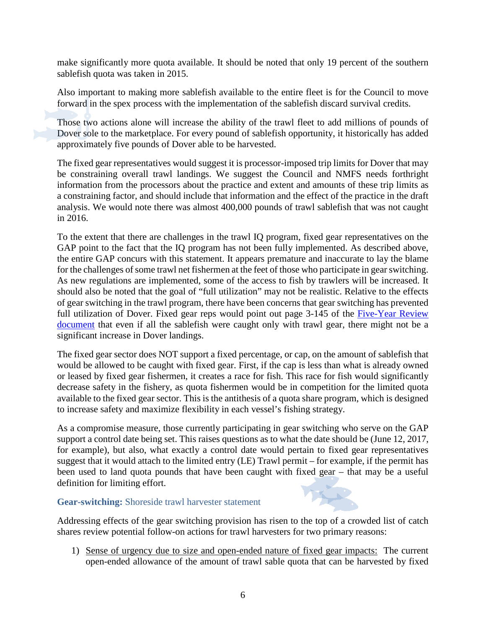make significantly more quota available. It should be noted that only 19 percent of the southern sablefish quota was taken in 2015.

Also important to making more sablefish available to the entire fleet is for the Council to move forward in the spex process with the implementation of the sablefish discard survival credits.

Those two actions alone will increase the ability of the trawl fleet to add millions of pounds of Dover sole to the marketplace. For every pound of sablefish opportunity, it historically has added approximately five pounds of Dover able to be harvested.

The fixed gear representatives would suggest it is processor-imposed trip limits for Dover that may be constraining overall trawl landings. We suggest the Council and NMFS needs forthright information from the processors about the practice and extent and amounts of these trip limits as a constraining factor, and should include that information and the effect of the practice in the draft analysis. We would note there was almost 400,000 pounds of trawl sablefish that was not caught in 2016.

To the extent that there are challenges in the trawl IQ program, fixed gear representatives on the GAP point to the fact that the IQ program has not been fully implemented. As described above, the entire GAP concurs with this statement. It appears premature and inaccurate to lay the blame for the challenges of some trawl net fishermen at the feet of those who participate in gear switching. As new regulations are implemented, some of the access to fish by trawlers will be increased. It should also be noted that the goal of "full utilization" may not be realistic. Relative to the effects of gear switching in the trawl program, there have been concerns that gear switching has prevented full utilization of Dover. Fixed gear reps would point out page 3-145 of the Five-Year Review [document](http://www.pcouncil.org/wp-content/uploads/2017/05/F2a_CatchShareAnalystsReport_FullReport_ElectricOnly_Jun2017BB.pdf) that even if all the sablefish were caught only with trawl gear, there might not be a significant increase in Dover landings.

The fixed gear sector does NOT support a fixed percentage, or cap, on the amount of sablefish that would be allowed to be caught with fixed gear. First, if the cap is less than what is already owned or leased by fixed gear fishermen, it creates a race for fish. This race for fish would significantly decrease safety in the fishery, as quota fishermen would be in competition for the limited quota available to the fixed gear sector. This is the antithesis of a quota share program, which is designed to increase safety and maximize flexibility in each vessel's fishing strategy.

As a compromise measure, those currently participating in gear switching who serve on the GAP support a control date being set. This raises questions as to what the date should be (June 12, 2017, for example), but also, what exactly a control date would pertain to fixed gear representatives suggest that it would attach to the limited entry (LE) Trawl permit – for example, if the permit has been used to land quota pounds that have been caught with fixed gear – that may be a useful definition for limiting effort.

### **Gear-switching:** Shoreside trawl harvester statement

Addressing effects of the gear switching provision has risen to the top of a crowded list of catch shares review potential follow-on actions for trawl harvesters for two primary reasons:

1) Sense of urgency due to size and open-ended nature of fixed gear impacts: The current open-ended allowance of the amount of trawl sable quota that can be harvested by fixed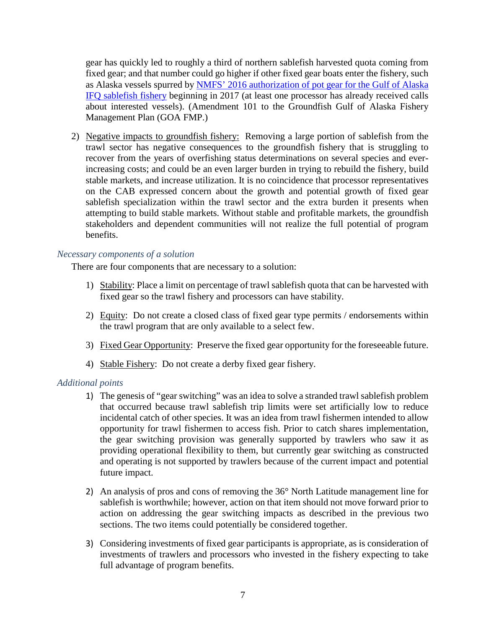gear has quickly led to roughly a third of northern sablefish harvested quota coming from fixed gear; and that number could go higher if other fixed gear boats enter the fishery, such as Alaska vessels spurred by NMFS' 2016 [authorization of pot gear for the Gulf of Alaska](https://www.federalregister.gov/documents/2016/12/28/2016-31057/fisheries-of-the-exclusive-economic-zone-off-alaska-allow-the-use-of-longline-pot-gear-in-the-gulf)  [IFQ sablefish fishery](https://www.federalregister.gov/documents/2016/12/28/2016-31057/fisheries-of-the-exclusive-economic-zone-off-alaska-allow-the-use-of-longline-pot-gear-in-the-gulf) beginning in 2017 (at least one processor has already received calls about interested vessels). (Amendment 101 to the Groundfish Gulf of Alaska Fishery Management Plan (GOA FMP.)

2) Negative impacts to groundfish fishery: Removing a large portion of sablefish from the trawl sector has negative consequences to the groundfish fishery that is struggling to recover from the years of overfishing status determinations on several species and everincreasing costs; and could be an even larger burden in trying to rebuild the fishery, build stable markets, and increase utilization. It is no coincidence that processor representatives on the CAB expressed concern about the growth and potential growth of fixed gear sablefish specialization within the trawl sector and the extra burden it presents when attempting to build stable markets. Without stable and profitable markets, the groundfish stakeholders and dependent communities will not realize the full potential of program benefits.

### *Necessary components of a solution*

There are four components that are necessary to a solution:

- 1) Stability: Place a limit on percentage of trawl sablefish quota that can be harvested with fixed gear so the trawl fishery and processors can have stability.
- 2) Equity: Do not create a closed class of fixed gear type permits / endorsements within the trawl program that are only available to a select few.
- 3) Fixed Gear Opportunity: Preserve the fixed gear opportunity for the foreseeable future.
- 4) Stable Fishery: Do not create a derby fixed gear fishery.

### *Additional points*

- 1) The genesis of "gear switching" was an idea to solve a stranded trawl sablefish problem that occurred because trawl sablefish trip limits were set artificially low to reduce incidental catch of other species. It was an idea from trawl fishermen intended to allow opportunity for trawl fishermen to access fish. Prior to catch shares implementation, the gear switching provision was generally supported by trawlers who saw it as providing operational flexibility to them, but currently gear switching as constructed and operating is not supported by trawlers because of the current impact and potential future impact.
- 2) An analysis of pros and cons of removing the 36° North Latitude management line for sablefish is worthwhile; however, action on that item should not move forward prior to action on addressing the gear switching impacts as described in the previous two sections. The two items could potentially be considered together.
- 3) Considering investments of fixed gear participants is appropriate, as is consideration of investments of trawlers and processors who invested in the fishery expecting to take full advantage of program benefits.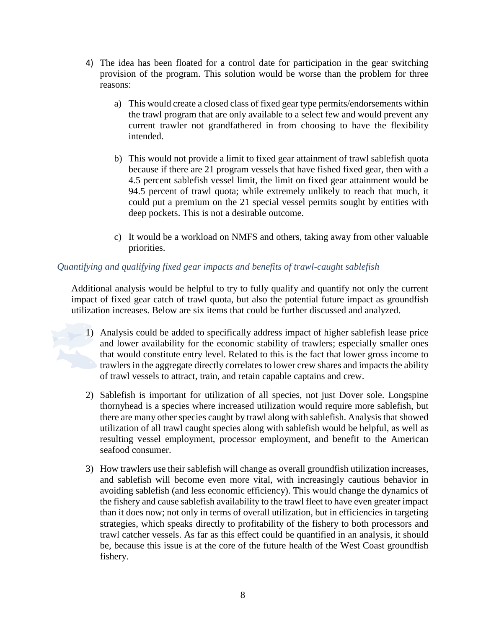- 4) The idea has been floated for a control date for participation in the gear switching provision of the program. This solution would be worse than the problem for three reasons:
	- a) This would create a closed class of fixed gear type permits/endorsements within the trawl program that are only available to a select few and would prevent any current trawler not grandfathered in from choosing to have the flexibility intended.
	- b) This would not provide a limit to fixed gear attainment of trawl sablefish quota because if there are 21 program vessels that have fished fixed gear, then with a 4.5 percent sablefish vessel limit, the limit on fixed gear attainment would be 94.5 percent of trawl quota; while extremely unlikely to reach that much, it could put a premium on the 21 special vessel permits sought by entities with deep pockets. This is not a desirable outcome.
	- c) It would be a workload on NMFS and others, taking away from other valuable priorities.

# *Quantifying and qualifying fixed gear impacts and benefits of trawl-caught sablefish*

Additional analysis would be helpful to try to fully qualify and quantify not only the current impact of fixed gear catch of trawl quota, but also the potential future impact as groundfish utilization increases. Below are six items that could be further discussed and analyzed.

- 1) Analysis could be added to specifically address impact of higher sablefish lease price and lower availability for the economic stability of trawlers; especially smaller ones that would constitute entry level. Related to this is the fact that lower gross income to trawlers in the aggregate directly correlates to lower crew shares and impacts the ability of trawl vessels to attract, train, and retain capable captains and crew.
- 2) Sablefish is important for utilization of all species, not just Dover sole. Longspine thornyhead is a species where increased utilization would require more sablefish, but there are many other species caught by trawl along with sablefish. Analysis that showed utilization of all trawl caught species along with sablefish would be helpful, as well as resulting vessel employment, processor employment, and benefit to the American seafood consumer.
- 3) How trawlers use their sablefish will change as overall groundfish utilization increases, and sablefish will become even more vital, with increasingly cautious behavior in avoiding sablefish (and less economic efficiency). This would change the dynamics of the fishery and cause sablefish availability to the trawl fleet to have even greater impact than it does now; not only in terms of overall utilization, but in efficiencies in targeting strategies, which speaks directly to profitability of the fishery to both processors and trawl catcher vessels. As far as this effect could be quantified in an analysis, it should be, because this issue is at the core of the future health of the West Coast groundfish fishery.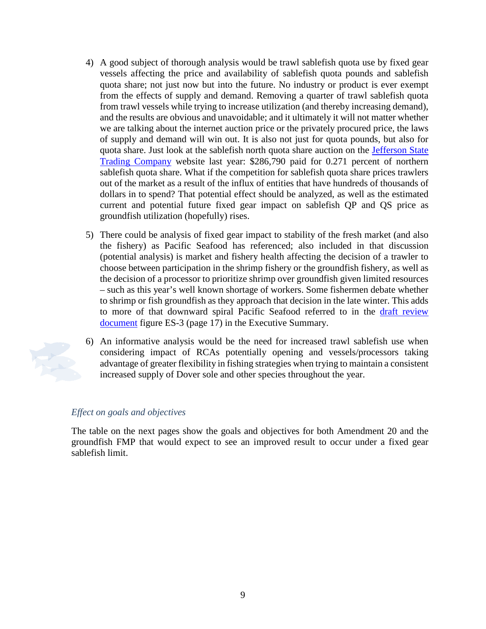- 4) A good subject of thorough analysis would be trawl sablefish quota use by fixed gear vessels affecting the price and availability of sablefish quota pounds and sablefish quota share; not just now but into the future. No industry or product is ever exempt from the effects of supply and demand. Removing a quarter of trawl sablefish quota from trawl vessels while trying to increase utilization (and thereby increasing demand), and the results are obvious and unavoidable; and it ultimately it will not matter whether we are talking about the internet auction price or the privately procured price, the laws of supply and demand will win out. It is also not just for quota pounds, but also for quota share. Just look at the sablefish north quota share auction on the [Jefferson State](https://jeffersonstatetradingco.com/cgi-bin/auction/auction.pl)  [Trading Company](https://jeffersonstatetradingco.com/cgi-bin/auction/auction.pl) website last year: \$286,790 paid for 0.271 percent of northern sablefish quota share. What if the competition for sablefish quota share prices trawlers out of the market as a result of the influx of entities that have hundreds of thousands of dollars in to spend? That potential effect should be analyzed, as well as the estimated current and potential future fixed gear impact on sablefish QP and QS price as groundfish utilization (hopefully) rises.
- 5) There could be analysis of fixed gear impact to stability of the fresh market (and also the fishery) as Pacific Seafood has referenced; also included in that discussion (potential analysis) is market and fishery health affecting the decision of a trawler to choose between participation in the shrimp fishery or the groundfish fishery, as well as the decision of a processor to prioritize shrimp over groundfish given limited resources – such as this year's well known shortage of workers. Some fishermen debate whether to shrimp or fish groundfish as they approach that decision in the late winter. This adds to more of that downward spiral Pacific Seafood referred to in the [draft review](http://www.pcouncil.org/wp-content/uploads/2017/05/F2a_CatchShareAnalystsReport_FullReport_ElectricOnly_Jun2017BB.pdf)  [document](http://www.pcouncil.org/wp-content/uploads/2017/05/F2a_CatchShareAnalystsReport_FullReport_ElectricOnly_Jun2017BB.pdf) figure ES-3 (page 17) in the Executive Summary.
- 6) An informative analysis would be the need for increased trawl sablefish use when considering impact of RCAs potentially opening and vessels/processors taking advantage of greater flexibility in fishing strategies when trying to maintain a consistent increased supply of Dover sole and other species throughout the year.

### *Effect on goals and objectives*

The table on the next pages show the goals and objectives for both Amendment 20 and the groundfish FMP that would expect to see an improved result to occur under a fixed gear sablefish limit.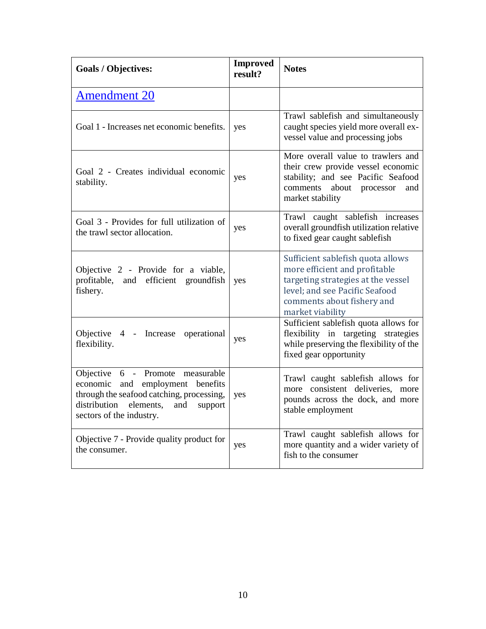| <b>Goals / Objectives:</b>                                                                                                                                                                      | <b>Improved</b><br>result? | <b>Notes</b>                                                                                                                                                                                 |
|-------------------------------------------------------------------------------------------------------------------------------------------------------------------------------------------------|----------------------------|----------------------------------------------------------------------------------------------------------------------------------------------------------------------------------------------|
| <b>Amendment 20</b>                                                                                                                                                                             |                            |                                                                                                                                                                                              |
| Goal 1 - Increases net economic benefits.                                                                                                                                                       | yes                        | Trawl sablefish and simultaneously<br>caught species yield more overall ex-<br>vessel value and processing jobs                                                                              |
| Goal 2 - Creates individual economic<br>stability.                                                                                                                                              | yes                        | More overall value to trawlers and<br>their crew provide vessel economic<br>stability; and see Pacific Seafood<br>comments about processor<br>and<br>market stability                        |
| Goal 3 - Provides for full utilization of<br>the trawl sector allocation.                                                                                                                       | yes                        | Trawl caught sablefish increases<br>overall groundfish utilization relative<br>to fixed gear caught sablefish                                                                                |
| Objective 2 - Provide for a viable,<br>profitable, and efficient groundfish<br>fishery.                                                                                                         | yes                        | Sufficient sablefish quota allows<br>more efficient and profitable<br>targeting strategies at the vessel<br>level; and see Pacific Seafood<br>comments about fishery and<br>market viability |
| Objective 4 - Increase<br>operational<br>flexibility.                                                                                                                                           | yes                        | Sufficient sablefish quota allows for<br>flexibility in targeting strategies<br>while preserving the flexibility of the<br>fixed gear opportunity                                            |
| Objective 6 - Promote measurable<br>economic<br>and employment benefits<br>through the seafood catching, processing,<br>distribution<br>elements,<br>and<br>support<br>sectors of the industry. | yes                        | Trawl caught sablefish allows for<br>more consistent deliveries, more<br>pounds across the dock, and more<br>stable employment                                                               |
| Objective 7 - Provide quality product for<br>the consumer.                                                                                                                                      | yes                        | Trawl caught sablefish allows for<br>more quantity and a wider variety of<br>fish to the consumer                                                                                            |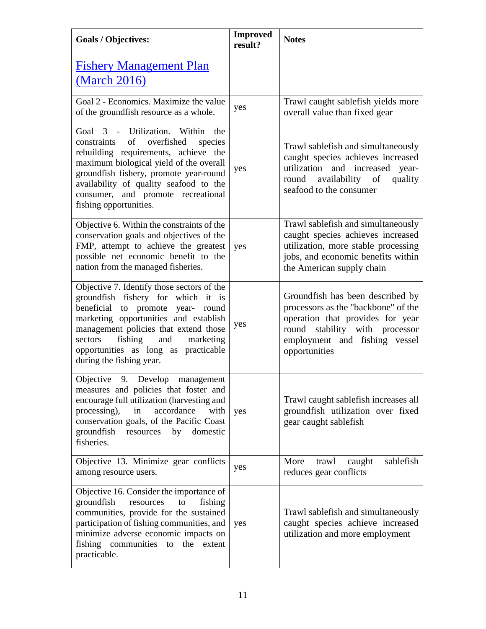| <b>Goals / Objectives:</b>                                                                                                                                                                                                                                                                                                  | <b>Improved</b><br>result? | <b>Notes</b>                                                                                                                                                                                    |
|-----------------------------------------------------------------------------------------------------------------------------------------------------------------------------------------------------------------------------------------------------------------------------------------------------------------------------|----------------------------|-------------------------------------------------------------------------------------------------------------------------------------------------------------------------------------------------|
| <b>Fishery Management Plan</b><br><u>(March 2016)</u>                                                                                                                                                                                                                                                                       |                            |                                                                                                                                                                                                 |
| Goal 2 - Economics. Maximize the value<br>of the groundfish resource as a whole.                                                                                                                                                                                                                                            | yes                        | Trawl caught sablefish yields more<br>overall value than fixed gear                                                                                                                             |
| Goal 3 - Utilization. Within<br>the<br>of<br>overfished<br>constraints<br>species<br>rebuilding requirements, achieve the<br>maximum biological yield of the overall<br>groundfish fishery, promote year-round<br>availability of quality seafood to the<br>consumer, and promote recreational<br>fishing opportunities.    | yes                        | Trawl sablefish and simultaneously<br>caught species achieves increased<br>utilization and increased<br>year-<br>availability of<br>round<br>quality<br>seafood to the consumer                 |
| Objective 6. Within the constraints of the<br>conservation goals and objectives of the<br>FMP, attempt to achieve the greatest<br>possible net economic benefit to the<br>nation from the managed fisheries.                                                                                                                | yes                        | Trawl sablefish and simultaneously<br>caught species achieves increased<br>utilization, more stable processing<br>jobs, and economic benefits within<br>the American supply chain               |
| Objective 7. Identify those sectors of the<br>groundfish fishery for which it is<br>beneficial<br>to promote<br>year- round<br>marketing opportunities and establish<br>management policies that extend those<br>fishing<br>and<br>sectors<br>marketing<br>opportunities as long as practicable<br>during the fishing year. | yes                        | Groundfish has been described by<br>processors as the "backbone" of the<br>operation that provides for year<br>round stability with processor<br>employment and fishing vessel<br>opportunities |
| Objective<br>9.<br>Develop<br>management<br>measures and policies that foster and<br>encourage full utilization (harvesting and<br>processing),<br>in<br>accordance<br>with<br>conservation goals, of the Pacific Coast<br>groundfish<br>resources by<br>domestic<br>fisheries.                                             | yes                        | Trawl caught sablefish increases all<br>groundfish utilization over fixed<br>gear caught sablefish                                                                                              |
| Objective 13. Minimize gear conflicts<br>among resource users.                                                                                                                                                                                                                                                              | yes                        | sablefish<br>caught<br>More<br>trawl<br>reduces gear conflicts                                                                                                                                  |
| Objective 16. Consider the importance of<br>groundfish<br>fishing<br>resources<br>to<br>communities, provide for the sustained<br>participation of fishing communities, and<br>minimize adverse economic impacts on<br>fishing communities to<br>the extent<br>practicable.                                                 | yes                        | Trawl sablefish and simultaneously<br>caught species achieve increased<br>utilization and more employment                                                                                       |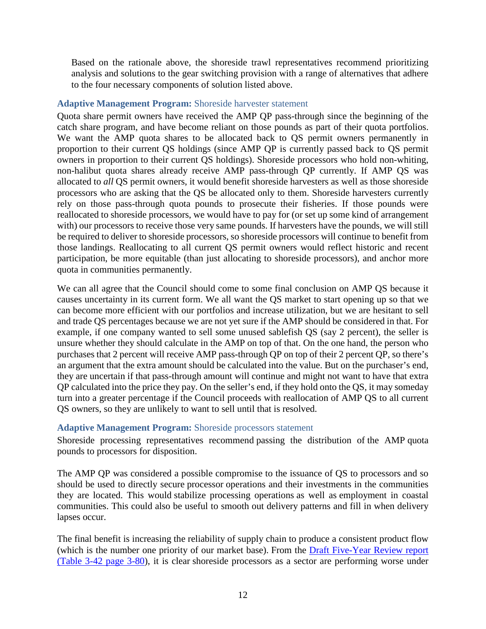Based on the rationale above, the shoreside trawl representatives recommend prioritizing analysis and solutions to the gear switching provision with a range of alternatives that adhere to the four necessary components of solution listed above.

### **Adaptive Management Program:** Shoreside harvester statement

Quota share permit owners have received the AMP QP pass-through since the beginning of the catch share program, and have become reliant on those pounds as part of their quota portfolios. We want the AMP quota shares to be allocated back to QS permit owners permanently in proportion to their current QS holdings (since AMP QP is currently passed back to QS permit owners in proportion to their current QS holdings). Shoreside processors who hold non-whiting, non-halibut quota shares already receive AMP pass-through QP currently. If AMP QS was allocated to *all* QS permit owners, it would benefit shoreside harvesters as well as those shoreside processors who are asking that the QS be allocated only to them. Shoreside harvesters currently rely on those pass-through quota pounds to prosecute their fisheries. If those pounds were reallocated to shoreside processors, we would have to pay for (or set up some kind of arrangement with) our processors to receive those very same pounds. If harvesters have the pounds, we will still be required to deliver to shoreside processors, so shoreside processors will continue to benefit from those landings. Reallocating to all current QS permit owners would reflect historic and recent participation, be more equitable (than just allocating to shoreside processors), and anchor more quota in communities permanently.

We can all agree that the Council should come to some final conclusion on AMP QS because it causes uncertainty in its current form. We all want the QS market to start opening up so that we can become more efficient with our portfolios and increase utilization, but we are hesitant to sell and trade QS percentages because we are not yet sure if the AMP should be considered in that. For example, if one company wanted to sell some unused sablefish QS (say 2 percent), the seller is unsure whether they should calculate in the AMP on top of that. On the one hand, the person who purchases that 2 percent will receive AMP pass-through QP on top of their 2 percent QP, so there's an argument that the extra amount should be calculated into the value. But on the purchaser's end, they are uncertain if that pass-through amount will continue and might not want to have that extra QP calculated into the price they pay. On the seller's end, if they hold onto the QS, it may someday turn into a greater percentage if the Council proceeds with reallocation of AMP QS to all current QS owners, so they are unlikely to want to sell until that is resolved.

### **Adaptive Management Program:** Shoreside processors statement

Shoreside processing representatives recommend passing the distribution of the AMP quota pounds to processors for disposition.

The AMP QP was considered a possible compromise to the issuance of QS to processors and so should be used to directly secure processor operations and their investments in the communities they are located. This would stabilize processing operations as well as employment in coastal communities. This could also be useful to smooth out delivery patterns and fill in when delivery lapses occur.

The final benefit is increasing the reliability of supply chain to produce a consistent product flow (which is the number one priority of our market base). From the **Draft Five-Year Review report** [\(Table 3-42 page 3-80\)](http://www.pcouncil.org/wp-content/uploads/2017/05/F2a_CatchShareAnalystsReport_FullReport_ElectricOnly_Jun2017BB.pdf), it is clear shoreside processors as a sector are performing worse under